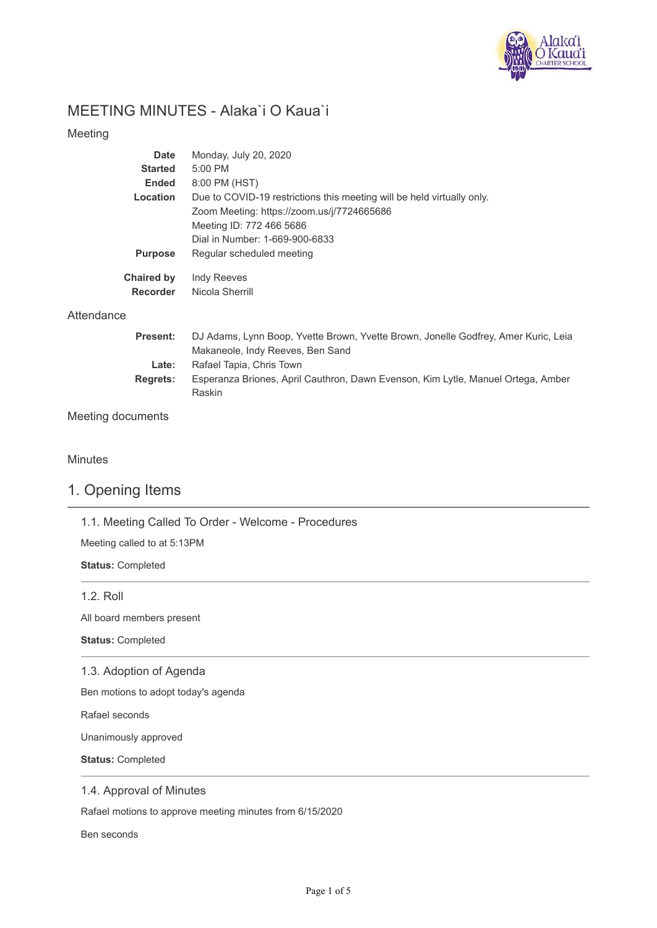

# MEETING MINUTES - Alaka`i O Kaua`i

## Meeting

| Date                          | Monday, July 20, 2020                                                  |
|-------------------------------|------------------------------------------------------------------------|
| <b>Started</b>                | 5:00 PM                                                                |
| <b>Ended</b>                  | 8:00 PM (HST)                                                          |
| Location                      | Due to COVID-19 restrictions this meeting will be held virtually only. |
|                               | Zoom Meeting: https://zoom.us/j/7724665686                             |
|                               | Meeting ID: 772 466 5686                                               |
|                               | Dial in Number: 1-669-900-6833                                         |
| <b>Purpose</b>                | Regular scheduled meeting                                              |
| <b>Chaired by</b><br>Recorder | Indy Reeves<br>Nicola Sherrill                                         |

## **Attendance**

| <b>Present:</b> | DJ Adams, Lynn Boop, Yvette Brown, Yvette Brown, Jonelle Godfrey, Amer Kuric, Leia |
|-----------------|------------------------------------------------------------------------------------|
|                 | Makaneole, Indy Reeves, Ben Sand                                                   |
| Late:           | Rafael Tapia, Chris Town                                                           |
| <b>Rearets:</b> | Esperanza Briones, April Cauthron, Dawn Evenson, Kim Lytle, Manuel Ortega, Amber   |
|                 | <b>Raskin</b>                                                                      |

# Meeting documents

## **Minutes**

# 1. Opening Items

1.1. Meeting Called To Order - Welcome - Procedures

Meeting called to at 5:13PM

**Status:** Completed

1.2. Roll

All board members present

**Status:** Completed

#### 1.3. Adoption of Agenda

Ben motions to adopt today's agenda

Rafael seconds

Unanimously approved

**Status:** Completed

## 1.4. Approval of Minutes

Rafael motions to approve meeting minutes from 6/15/2020

Ben seconds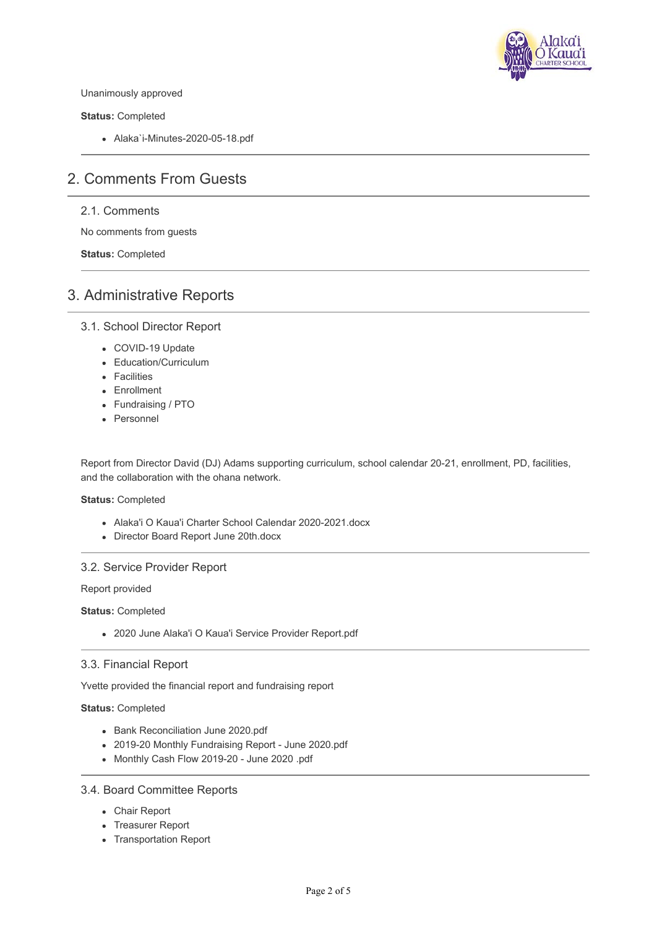

Unanimously approved

**Status:** Completed

Alaka`i-Minutes-2020-05-18.pdf

# 2. Comments From Guests

## 2.1. Comments

No comments from guests

**Status:** Completed

# 3. Administrative Reports

#### 3.1. School Director Report

- COVID-19 Update
- Education/Curriculum
- Facilities
- Enrollment
- Fundraising / PTO
- Personnel

Report from Director David (DJ) Adams supporting curriculum, school calendar 20-21, enrollment, PD, facilities, and the collaboration with the ohana network.

#### **Status:** Completed

- Alaka'i O Kaua'i Charter School Calendar 2020-2021.docx
- Director Board Report June 20th.docx

#### 3.2. Service Provider Report

Report provided

**Status:** Completed

2020 June Alaka'i O Kaua'i Service Provider Report.pdf

#### 3.3. Financial Report

Yvette provided the financial report and fundraising report

#### **Status:** Completed

- Bank Reconciliation June 2020.pdf
- 2019-20 Monthly Fundraising Report June 2020.pdf
- Monthly Cash Flow 2019-20 June 2020 .pdf

#### 3.4. Board Committee Reports

- Chair Report
- Treasurer Report
- Transportation Report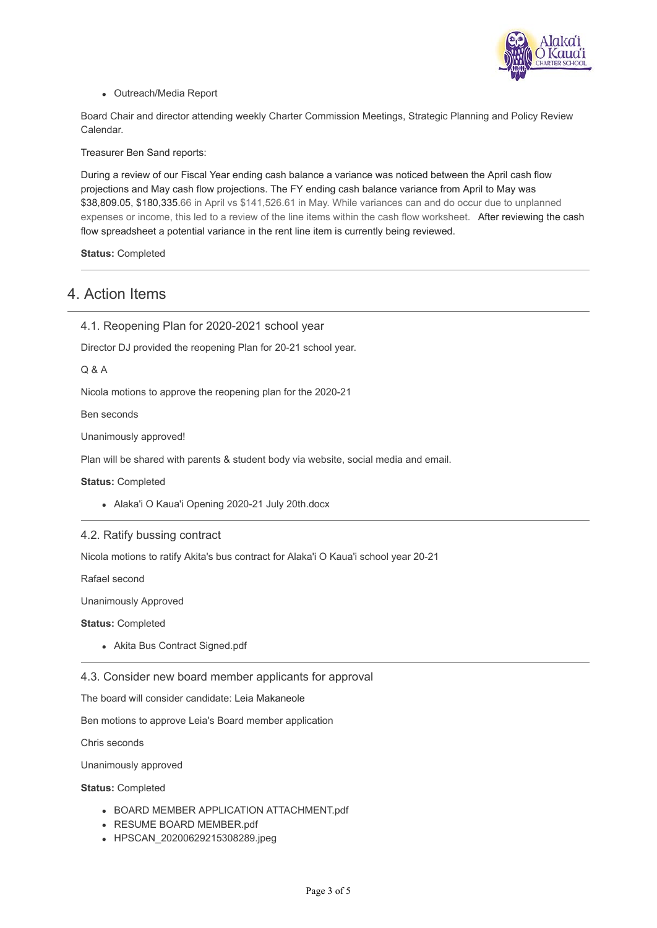

Outreach/Media Report

Board Chair and director attending weekly Charter Commission Meetings, Strategic Planning and Policy Review Calendar.

Treasurer Ben Sand reports:

During a review of our Fiscal Year ending cash balance a variance was noticed between the April cash flow projections and May cash flow projections. The FY ending cash balance variance from April to May was \$38,809.05, \$180,335.66 in April vs \$141,526.61 in May. While variances can and do occur due to unplanned expenses or income, this led to a review of the line items within the cash flow worksheet. After reviewing the cash flow spreadsheet a potential variance in the rent line item is currently being reviewed.

**Status:** Completed

# 4. Action Items

4.1. Reopening Plan for 2020-2021 school year

Director DJ provided the reopening Plan for 20-21 school year.

Q & A

Nicola motions to approve the reopening plan for the 2020-21

Ben seconds

Unanimously approved!

Plan will be shared with parents & student body via website, social media and email.

**Status:** Completed

Alaka'i O Kaua'i Opening 2020-21 July 20th.docx

#### 4.2. Ratify bussing contract

Nicola motions to ratify Akita's bus contract for Alaka'i O Kaua'i school year 20-21

Rafael second

Unanimously Approved

**Status:** Completed

Akita Bus Contract Signed.pdf

4.3. Consider new board member applicants for approval

The board will consider candidate: Leia Makaneole

Ben motions to approve Leia's Board member application

Chris seconds

Unanimously approved

**Status:** Completed

- BOARD MEMBER APPLICATION ATTACHMENT.pdf
- RESUME BOARD MEMBER.pdf
- HPSCAN 20200629215308289.jpeg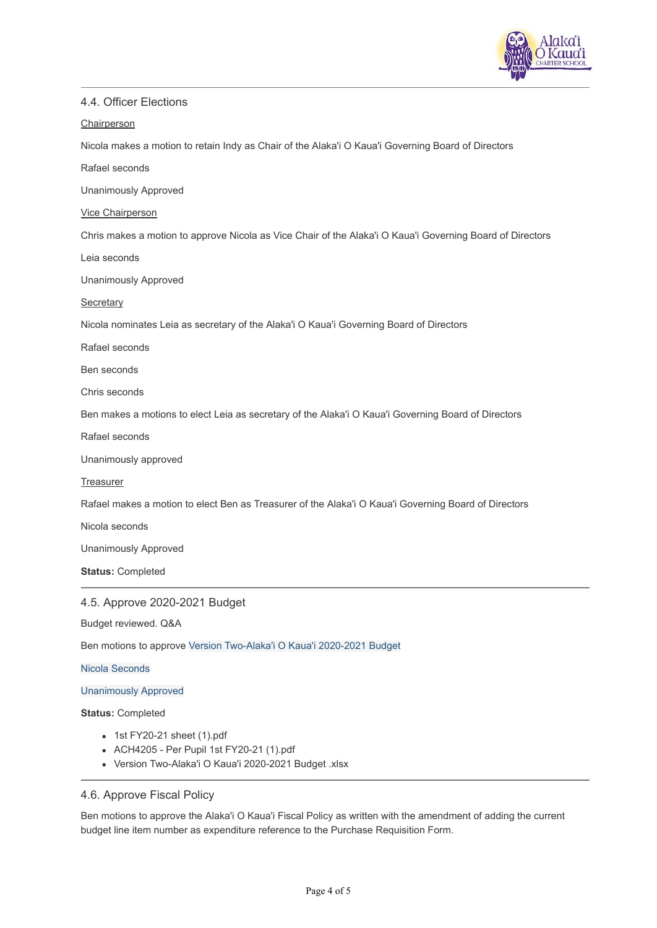

### 4.4. Officer Elections

#### **Chairperson**

Nicola makes a motion to retain Indy as Chair of the Alaka'i O Kaua'i Governing Board of Directors

Rafael seconds

Unanimously Approved

#### Vice Chairperson

Chris makes a motion to approve Nicola as Vice Chair of the Alaka'i O Kaua'i Governing Board of Directors

Leia seconds

Unanimously Approved

#### **Secretary**

Nicola nominates Leia as secretary of the Alaka'i O Kaua'i Governing Board of Directors

Rafael seconds

Ben seconds

Chris seconds

Ben makes a motions to elect Leia as secretary of the Alaka'i O Kaua'i Governing Board of Directors

Rafael seconds

Unanimously approved

#### **Treasurer**

Rafael makes a motion to elect Ben as Treasurer of the Alaka'i O Kaua'i Governing Board of Directors

Nicola seconds

Unanimously Approved

**Status:** Completed

#### 4.5. Approve 2020-2021 Budget

Budget reviewed. Q&A

Ben motions to approve [Version Two-Alaka'i O Kaua'i 2020-2021 Budget](https://www.mycommittee.com/DesktopModules/MyMeeting/Upload/Open.aspx?id=170554)

#### Nicola Seconds

#### Unanimously Approved

#### **Status:** Completed

- 1st FY20-21 sheet (1).pdf
- ACH4205 Per Pupil 1st FY20-21 (1).pdf
- Version Two-Alaka'i O Kaua'i 2020-2021 Budget .xlsx

#### 4.6. Approve Fiscal Policy

Ben motions to approve the Alaka'i O Kaua'i Fiscal Policy as written with the amendment of adding the current budget line item number as expenditure reference to the Purchase Requisition Form.